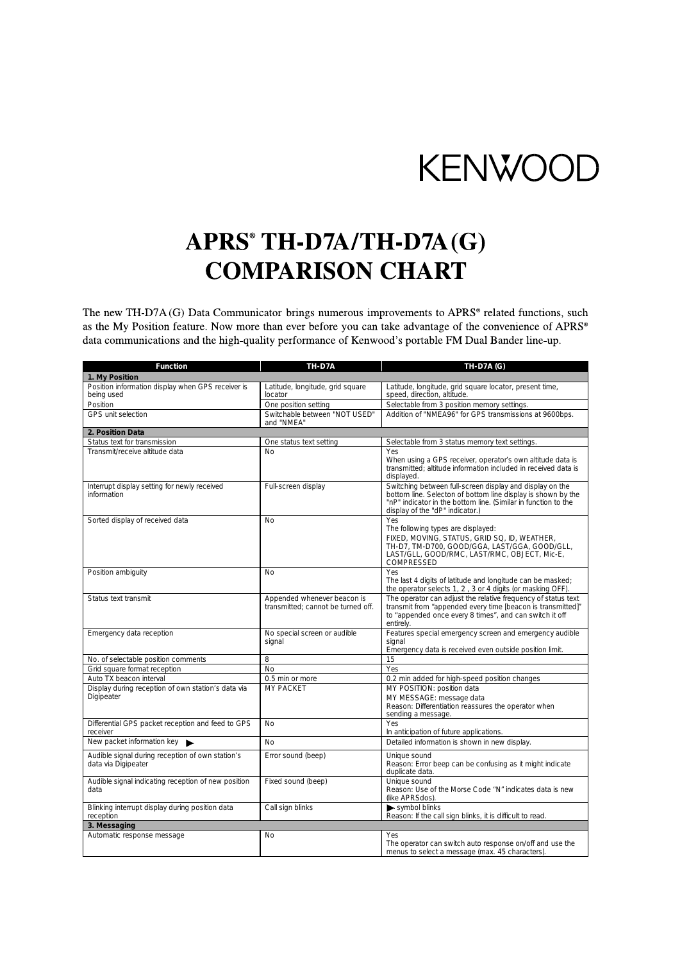## **KENWOOD**

## APRS<sup>®</sup> TH-D7A/TH-D7A(G) **COMPARISON CHART**

The new TH-D7A (G) Data Communicator brings numerous improvements to APRS® related functions, such as the My Position feature. Now more than ever before you can take advantage of the convenience of APRS® data communications and the high-quality performance of Kenwood's portable FM Dual Bander line-up.

| <b>Function</b>                                                         | TH-D7A                                                            | <b>TH-D7A (G)</b>                                                                                                                                                                                                             |
|-------------------------------------------------------------------------|-------------------------------------------------------------------|-------------------------------------------------------------------------------------------------------------------------------------------------------------------------------------------------------------------------------|
| 1. My Position                                                          |                                                                   |                                                                                                                                                                                                                               |
| Position information display when GPS receiver is<br>being used         | Latitude, longitude, grid square<br>locator                       | Latitude, longitude, grid square locator, present time,<br>speed, direction, altitude.                                                                                                                                        |
| Position                                                                | One position setting                                              | Selectable from 3 position memory settings.                                                                                                                                                                                   |
| GPS unit selection                                                      | Switchable between "NOT USED"<br>and "NMEA"                       | Addition of "NMEA96" for GPS transmissions at 9600bps.                                                                                                                                                                        |
| 2. Position Data                                                        |                                                                   |                                                                                                                                                                                                                               |
| Status text for transmission                                            | One status text setting                                           | Selectable from 3 status memory text settings.                                                                                                                                                                                |
| Transmit/receive altitude data                                          | No                                                                | Yes<br>When using a GPS receiver, operator's own altitude data is<br>transmitted: altitude information included in received data is<br>displayed.                                                                             |
| Interrupt display setting for newly received<br>information             | Full-screen display                                               | Switching between full-screen display and display on the<br>bottom line. Selecton of bottom line display is shown by the<br>"nP" indicator in the bottom line. (Similar in function to the<br>display of the "dP" indicator.) |
| Sorted display of received data                                         | <b>No</b>                                                         | Yes<br>The following types are displayed:<br>FIXED, MOVING, STATUS, GRID SQ, ID, WEATHER,<br>TH-D7, TM-D700, GOOD/GGA, LAST/GGA, GOOD/GLL,<br>LAST/GLL, GOOD/RMC, LAST/RMC, OBJECT, Mic-E,<br>COMPRESSED                      |
| Position ambiguity                                                      | No                                                                | Yes<br>The last 4 digits of latitude and longitude can be masked;<br>the operator selects 1, 2, 3 or 4 digits (or masking OFF).                                                                                               |
| Status text transmit                                                    | Appended whenever beacon is<br>transmitted: cannot be turned off. | The operator can adjust the relative frequency of status text<br>transmit from "appended every time [beacon is transmitted]"<br>to "appended once every 8 times", and can switch it off<br>entirely.                          |
| Emergency data reception                                                | No special screen or audible<br>signal                            | Features special emergency screen and emergency audible<br>signal<br>Emergency data is received even outside position limit.                                                                                                  |
| No. of selectable position comments                                     | 8                                                                 | 15                                                                                                                                                                                                                            |
| Grid square format reception                                            | <b>No</b>                                                         | Yes                                                                                                                                                                                                                           |
| Auto TX beacon interval                                                 | 0.5 min or more                                                   | 0.2 min added for high-speed position changes                                                                                                                                                                                 |
| Display during reception of own station's data via<br>Digipeater        | MY PACKET                                                         | MY POSITION: position data<br>MY MESSAGE: message data<br>Reason: Differentiation reassures the operator when<br>sending a message.                                                                                           |
| Differential GPS packet reception and feed to GPS<br>receiver           | No                                                                | Yes<br>In anticipation of future applications.                                                                                                                                                                                |
| New packet information key                                              | <b>No</b>                                                         | Detailed information is shown in new display.                                                                                                                                                                                 |
| Audible signal during reception of own station's<br>data via Digipeater | Error sound (beep)                                                | Unique sound<br>Reason: Error beep can be confusing as it might indicate<br>duplicate data.                                                                                                                                   |
| Audible signal indicating reception of new position<br>data             | Fixed sound (beep)                                                | Unique sound<br>Reason: Use of the Morse Code "N" indicates data is new<br>(like APRSdos)                                                                                                                                     |
| Blinking interrupt display during position data<br>reception            | Call sign blinks                                                  | symbol blinks<br>Reason: If the call sign blinks, it is difficult to read.                                                                                                                                                    |
| 3. Messaging                                                            |                                                                   |                                                                                                                                                                                                                               |
| Automatic response message                                              | <b>No</b>                                                         | Yes<br>The operator can switch auto response on/off and use the<br>menus to select a message (max. 45 characters).                                                                                                            |